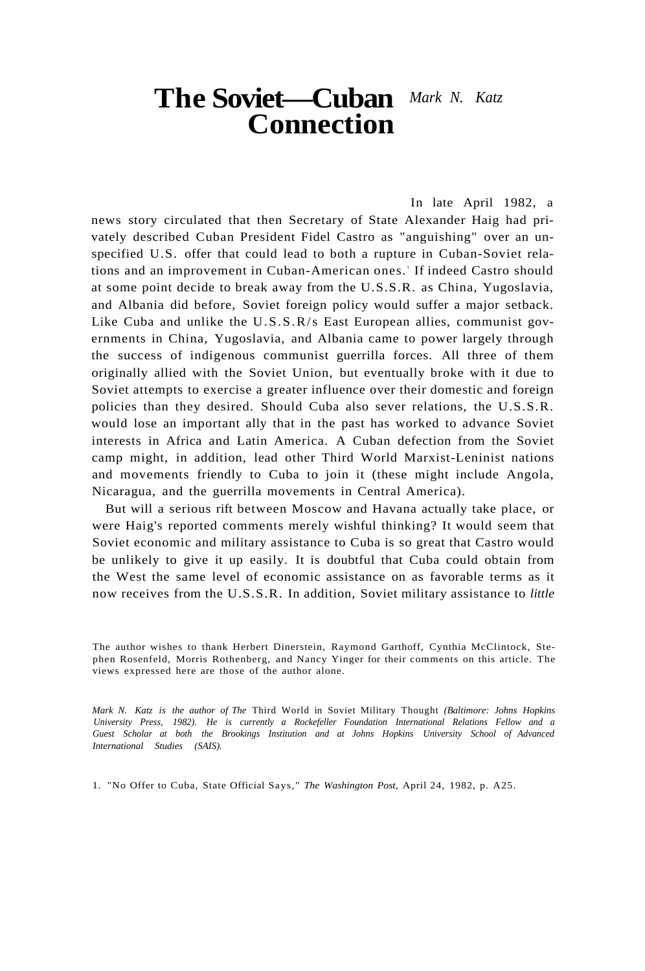# **The Soviet—Cuban**  *Mark N. Katz*  **Connection**

In late April 1982, a news story circulated that then Secretary of State Alexander Haig had privately described Cuban President Fidel Castro as "anguishing" over an unspecified U.S. offer that could lead to both a rupture in Cuban-Soviet relations and an improvement in Cuban-American ones.' If indeed Castro should at some point decide to break away from the U.S.S.R. as China, Yugoslavia, and Albania did before, Soviet foreign policy would suffer a major setback. Like Cuba and unlike the U.S.S.R/s East European allies, communist governments in China, Yugoslavia, and Albania came to power largely through the success of indigenous communist guerrilla forces. All three of them originally allied with the Soviet Union, but eventually broke with it due to Soviet attempts to exercise a greater influence over their domestic and foreign policies than they desired. Should Cuba also sever relations, the U.S.S.R. would lose an important ally that in the past has worked to advance Soviet interests in Africa and Latin America. A Cuban defection from the Soviet camp might, in addition, lead other Third World Marxist-Leninist nations and movements friendly to Cuba to join it (these might include Angola, Nicaragua, and the guerrilla movements in Central America).

But will a serious rift between Moscow and Havana actually take place, or were Haig's reported comments merely wishful thinking? It would seem that Soviet economic and military assistance to Cuba is so great that Castro would be unlikely to give it up easily. It is doubtful that Cuba could obtain from the West the same level of economic assistance on as favorable terms as it now receives from the U.S.S.R. In addition, Soviet military assistance to *little* 

*Mark N. Katz is the author of The* Third World in Soviet Military Thought *(Baltimore: Johns Hopkins University Press, 1982). He is currently a Rockefeller Foundation International Relations Fellow and a Guest Scholar at both the Brookings Institution and at Johns Hopkins University School of Advanced International Studies (SAIS).* 

1. "No Offer to Cuba, State Official Says," *The Washington Post,* April 24, 1982, p. A25.

The author wishes to thank Herbert Dinerstein, Raymond Garthoff, Cynthia McClintock, Stephen Rosenfeld, Morris Rothenberg, and Nancy Yinger for their comments on this article. The views expressed here are those of the author alone.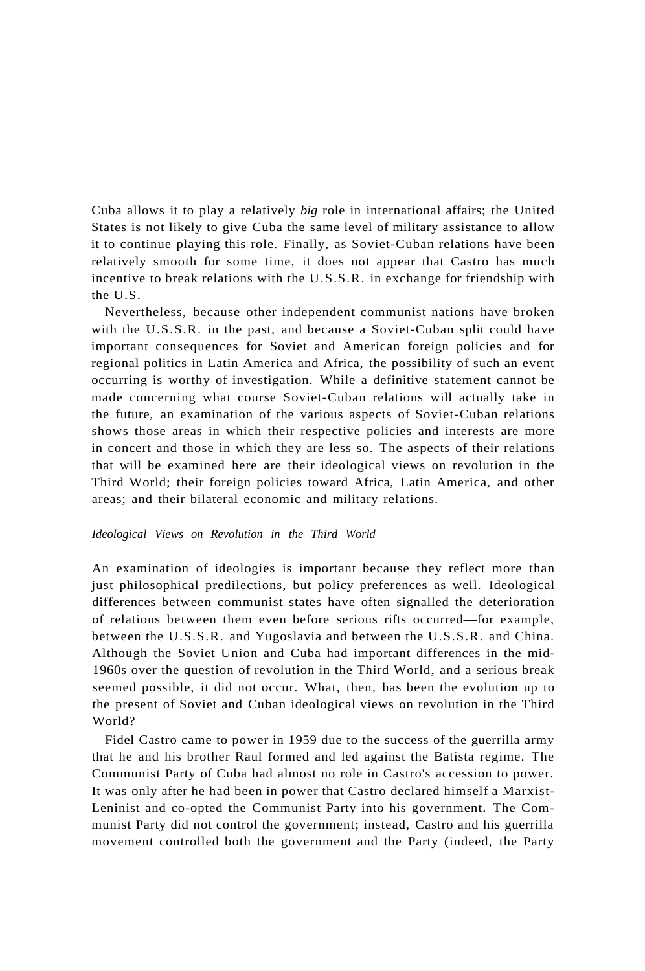Cuba allows it to play a relatively *big* role in international affairs; the United States is not likely to give Cuba the same level of military assistance to allow it to continue playing this role. Finally, as Soviet-Cuban relations have been relatively smooth for some time, it does not appear that Castro has much incentive to break relations with the U.S.S.R. in exchange for friendship with the U.S.

Nevertheless, because other independent communist nations have broken with the U.S.S.R. in the past, and because a Soviet-Cuban split could have important consequences for Soviet and American foreign policies and for regional politics in Latin America and Africa, the possibility of such an event occurring is worthy of investigation. While a definitive statement cannot be made concerning what course Soviet-Cuban relations will actually take in the future, an examination of the various aspects of Soviet-Cuban relations shows those areas in which their respective policies and interests are more in concert and those in which they are less so. The aspects of their relations that will be examined here are their ideological views on revolution in the Third World; their foreign policies toward Africa, Latin America, and other areas; and their bilateral economic and military relations.

# *Ideological Views on Revolution in the Third World*

An examination of ideologies is important because they reflect more than just philosophical predilections, but policy preferences as well. Ideological differences between communist states have often signalled the deterioration of relations between them even before serious rifts occurred—for example, between the U.S.S.R. and Yugoslavia and between the U.S.S.R. and China. Although the Soviet Union and Cuba had important differences in the mid-1960s over the question of revolution in the Third World, and a serious break seemed possible, it did not occur. What, then, has been the evolution up to the present of Soviet and Cuban ideological views on revolution in the Third World?

Fidel Castro came to power in 1959 due to the success of the guerrilla army that he and his brother Raul formed and led against the Batista regime. The Communist Party of Cuba had almost no role in Castro's accession to power. It was only after he had been in power that Castro declared himself a Marxist-Leninist and co-opted the Communist Party into his government. The Communist Party did not control the government; instead, Castro and his guerrilla movement controlled both the government and the Party (indeed, the Party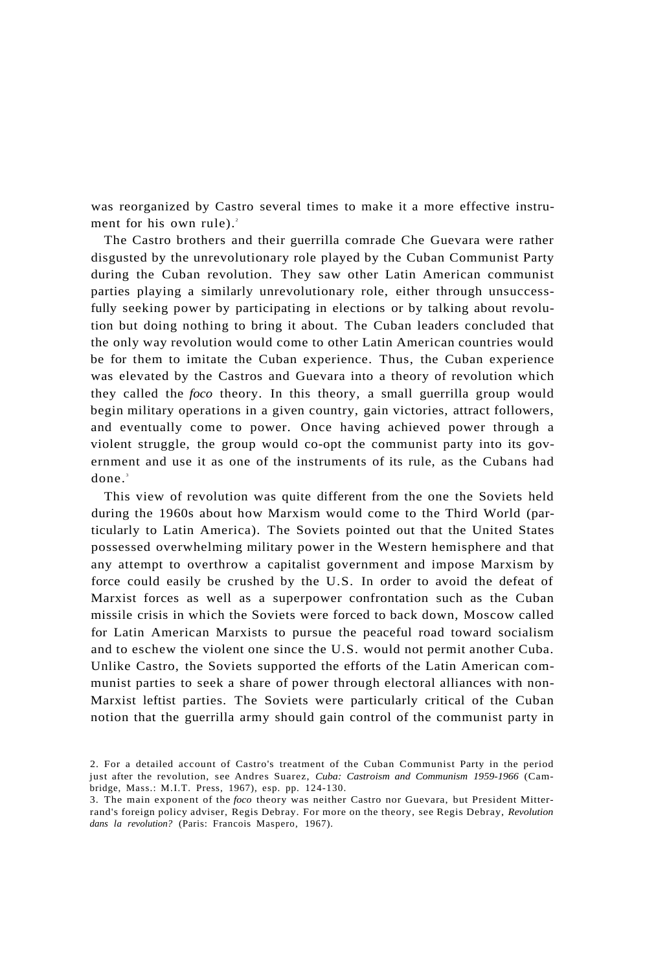was reorganized by Castro several times to make it a more effective instrument for his own rule). $^{2}$ 

The Castro brothers and their guerrilla comrade Che Guevara were rather disgusted by the unrevolutionary role played by the Cuban Communist Party during the Cuban revolution. They saw other Latin American communist parties playing a similarly unrevolutionary role, either through unsuccessfully seeking power by participating in elections or by talking about revolution but doing nothing to bring it about. The Cuban leaders concluded that the only way revolution would come to other Latin American countries would be for them to imitate the Cuban experience. Thus, the Cuban experience was elevated by the Castros and Guevara into a theory of revolution which they called the *foco* theory. In this theory, a small guerrilla group would begin military operations in a given country, gain victories, attract followers, and eventually come to power. Once having achieved power through a violent struggle, the group would co-opt the communist party into its government and use it as one of the instruments of its rule, as the Cubans had done.<sup>3</sup>

This view of revolution was quite different from the one the Soviets held during the 1960s about how Marxism would come to the Third World (particularly to Latin America). The Soviets pointed out that the United States possessed overwhelming military power in the Western hemisphere and that any attempt to overthrow a capitalist government and impose Marxism by force could easily be crushed by the U.S. In order to avoid the defeat of Marxist forces as well as a superpower confrontation such as the Cuban missile crisis in which the Soviets were forced to back down, Moscow called for Latin American Marxists to pursue the peaceful road toward socialism and to eschew the violent one since the U.S. would not permit another Cuba. Unlike Castro, the Soviets supported the efforts of the Latin American communist parties to seek a share of power through electoral alliances with non-Marxist leftist parties. The Soviets were particularly critical of the Cuban notion that the guerrilla army should gain control of the communist party in

<sup>2.</sup> For a detailed account of Castro's treatment of the Cuban Communist Party in the period just after the revolution, see Andres Suarez, *Cuba: Castroism and Communism 1959-1966* (Cambridge, Mass.: M.I.T. Press, 1967), esp. pp. 124-130.

<sup>3.</sup> The main exponent of the *foco* theory was neither Castro nor Guevara, but President Mitterrand's foreign policy adviser, Regis Debray. For more on the theory, see Regis Debray, *Revolution dans la revolution?* (Paris: Francois Maspero, 1967).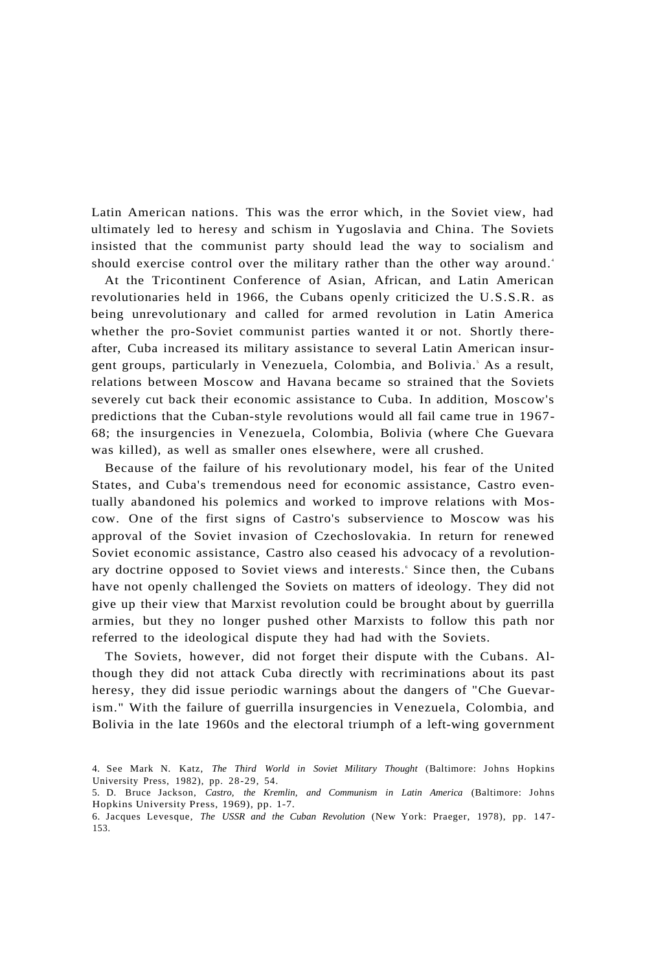Latin American nations. This was the error which, in the Soviet view, had ultimately led to heresy and schism in Yugoslavia and China. The Soviets insisted that the communist party should lead the way to socialism and should exercise control over the military rather than the other way around.<sup>4</sup>

At the Tricontinent Conference of Asian, African, and Latin American revolutionaries held in 1966, the Cubans openly criticized the U.S.S.R. as being unrevolutionary and called for armed revolution in Latin America whether the pro-Soviet communist parties wanted it or not. Shortly thereafter, Cuba increased its military assistance to several Latin American insurgent groups, particularly in Venezuela, Colombia, and Bolivia.<sup>5</sup> As a result, relations between Moscow and Havana became so strained that the Soviets severely cut back their economic assistance to Cuba. In addition, Moscow's predictions that the Cuban-style revolutions would all fail came true in 1967- 68; the insurgencies in Venezuela, Colombia, Bolivia (where Che Guevara was killed), as well as smaller ones elsewhere, were all crushed.

Because of the failure of his revolutionary model, his fear of the United States, and Cuba's tremendous need for economic assistance, Castro eventually abandoned his polemics and worked to improve relations with Moscow. One of the first signs of Castro's subservience to Moscow was his approval of the Soviet invasion of Czechoslovakia. In return for renewed Soviet economic assistance, Castro also ceased his advocacy of a revolutionary doctrine opposed to Soviet views and interests. Since then, the Cubans have not openly challenged the Soviets on matters of ideology. They did not give up their view that Marxist revolution could be brought about by guerrilla armies, but they no longer pushed other Marxists to follow this path nor referred to the ideological dispute they had had with the Soviets.

The Soviets, however, did not forget their dispute with the Cubans. Although they did not attack Cuba directly with recriminations about its past heresy, they did issue periodic warnings about the dangers of "Che Guevarism." With the failure of guerrilla insurgencies in Venezuela, Colombia, and Bolivia in the late 1960s and the electoral triumph of a left-wing government

<sup>4.</sup> See Mark N. Katz, *The Third World in Soviet Military Thought* (Baltimore: Johns Hopkins University Press, 1982), pp. 28-29, 54.

<sup>5.</sup> D. Bruce Jackson, *Castro, the Kremlin, and Communism in Latin America* (Baltimore: Johns Hopkins University Press, 1969), pp. 1-7.

<sup>6.</sup> Jacques Levesque, *The USSR and the Cuban Revolution* (New York: Praeger, 1978), pp. 147- 153.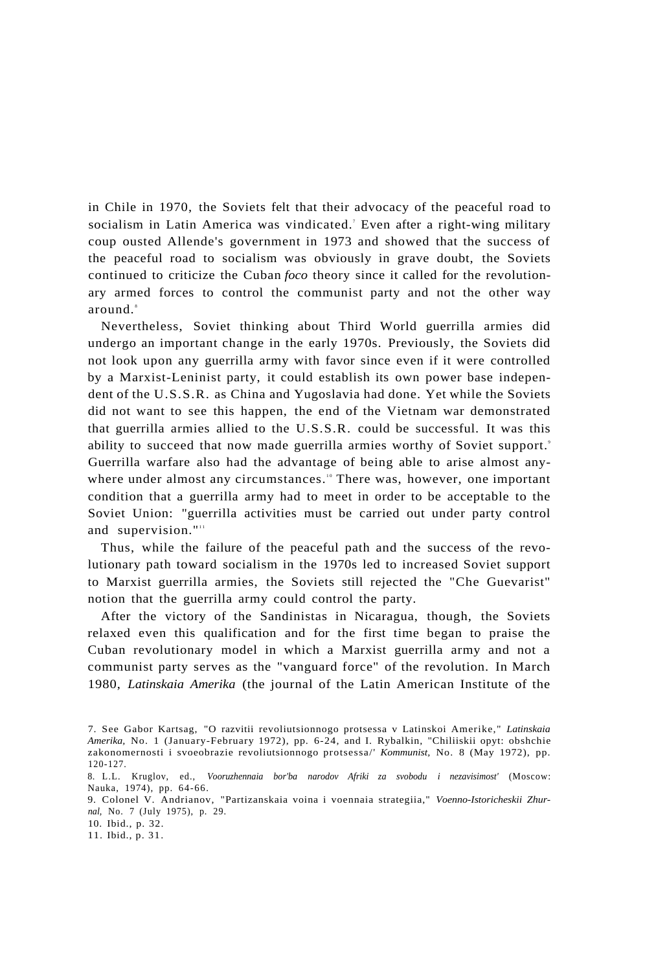in Chile in 1970, the Soviets felt that their advocacy of the peaceful road to socialism in Latin America was vindicated.' Even after a right-wing military coup ousted Allende's government in 1973 and showed that the success of the peaceful road to socialism was obviously in grave doubt, the Soviets continued to criticize the Cuban *foco* theory since it called for the revolutionary armed forces to control the communist party and not the other way around.<sup>8</sup>

Nevertheless, Soviet thinking about Third World guerrilla armies did undergo an important change in the early 1970s. Previously, the Soviets did not look upon any guerrilla army with favor since even if it were controlled by a Marxist-Leninist party, it could establish its own power base independent of the U.S.S.R. as China and Yugoslavia had done. Yet while the Soviets did not want to see this happen, the end of the Vietnam war demonstrated that guerrilla armies allied to the U.S.S.R. could be successful. It was this ability to succeed that now made guerrilla armies worthy of Soviet support.' Guerrilla warfare also had the advantage of being able to arise almost anywhere under almost any circumstances.<sup>10</sup> There was, however, one important condition that a guerrilla army had to meet in order to be acceptable to the Soviet Union: "guerrilla activities must be carried out under party control and supervision."<sup>11</sup>

Thus, while the failure of the peaceful path and the success of the revolutionary path toward socialism in the 1970s led to increased Soviet support to Marxist guerrilla armies, the Soviets still rejected the "Che Guevarist" notion that the guerrilla army could control the party.

After the victory of the Sandinistas in Nicaragua, though, the Soviets relaxed even this qualification and for the first time began to praise the Cuban revolutionary model in which a Marxist guerrilla army and not a communist party serves as the "vanguard force" of the revolution. In March 1980, *Latinskaia Amerika* (the journal of the Latin American Institute of the

<sup>7.</sup> See Gabor Kartsag, "O razvitii revoliutsionnogo protsessa v Latinskoi Amerike," *Latinskaia Amerika,* No. 1 (January-February 1972), pp. 6-24, and I. Rybalkin, "Chiliiskii opyt: obshchie zakonomernosti i svoeobrazie revoliutsionnogo protsessa/' *Kommunist,* No. 8 (May 1972), pp. 120-127.

<sup>8.</sup> L.L. Kruglov, ed., *Vooruzhennaia bor'ba narodov Afriki za svobodu i nezavisimost'* (Moscow: Nauka, 1974), pp. 64-66.

<sup>9.</sup> Colonel V. Andrianov, "Partizanskaia voina i voennaia strategiia," *Voenno-Istoricheskii Zhurnal,* No. 7 (July 1975), p. 29.

<sup>10.</sup> Ibid., p. 32.

<sup>11.</sup> Ibid., p. 31.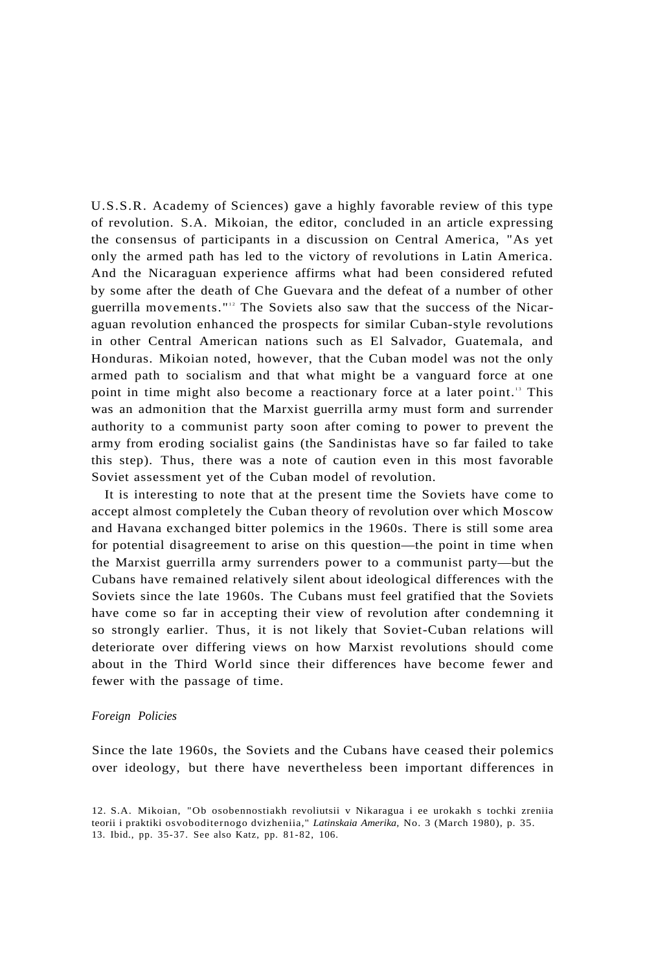U.S.S.R. Academy of Sciences) gave a highly favorable review of this type of revolution. S.A. Mikoian, the editor, concluded in an article expressing the consensus of participants in a discussion on Central America, "As yet only the armed path has led to the victory of revolutions in Latin America. And the Nicaraguan experience affirms what had been considered refuted by some after the death of Che Guevara and the defeat of a number of other guerrilla movements."<sup>12</sup> The Soviets also saw that the success of the Nicaraguan revolution enhanced the prospects for similar Cuban-style revolutions in other Central American nations such as El Salvador, Guatemala, and Honduras. Mikoian noted, however, that the Cuban model was not the only armed path to socialism and that what might be a vanguard force at one point in time might also become a reactionary force at a later point.<sup>13</sup> This was an admonition that the Marxist guerrilla army must form and surrender authority to a communist party soon after coming to power to prevent the army from eroding socialist gains (the Sandinistas have so far failed to take this step). Thus, there was a note of caution even in this most favorable Soviet assessment yet of the Cuban model of revolution.

It is interesting to note that at the present time the Soviets have come to accept almost completely the Cuban theory of revolution over which Moscow and Havana exchanged bitter polemics in the 1960s. There is still some area for potential disagreement to arise on this question—the point in time when the Marxist guerrilla army surrenders power to a communist party—but the Cubans have remained relatively silent about ideological differences with the Soviets since the late 1960s. The Cubans must feel gratified that the Soviets have come so far in accepting their view of revolution after condemning it so strongly earlier. Thus, it is not likely that Soviet-Cuban relations will deteriorate over differing views on how Marxist revolutions should come about in the Third World since their differences have become fewer and fewer with the passage of time.

#### *Foreign Policies*

Since the late 1960s, the Soviets and the Cubans have ceased their polemics over ideology, but there have nevertheless been important differences in

<sup>12.</sup> S.A. Mikoian, "Ob osobennostiakh revoliutsii v Nikaragua i ee urokakh s tochki zreniia teorii i praktiki osvoboditernogo dvizheniia," *Latinskaia Amerika,* No. 3 (March 1980), p. 35. 13. Ibid., pp. 35-37. See also Katz, pp. 81-82, 106.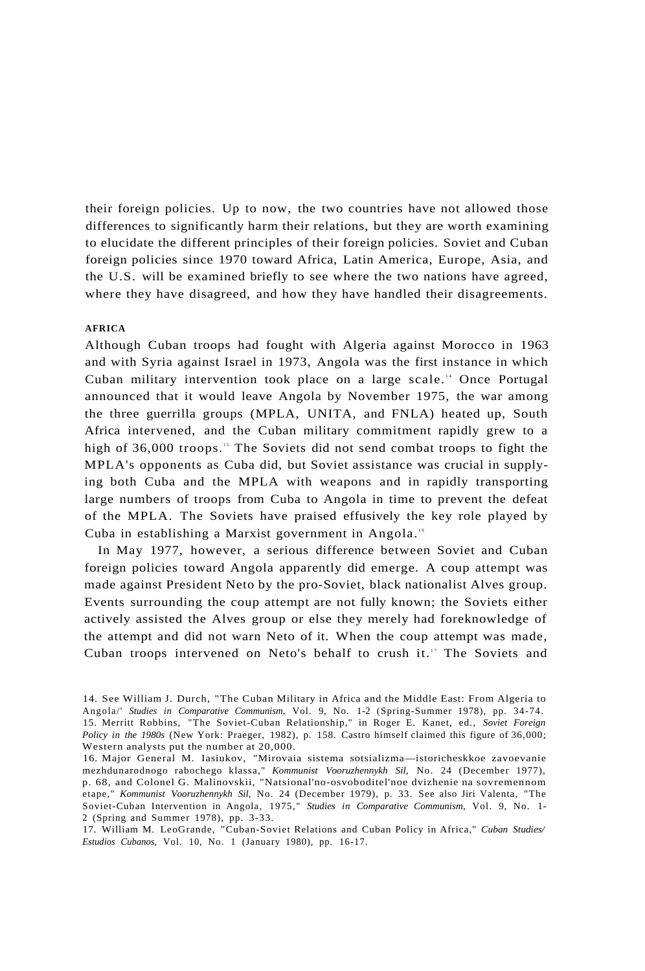their foreign policies. Up to now, the two countries have not allowed those differences to significantly harm their relations, but they are worth examining to elucidate the different principles of their foreign policies. Soviet and Cuban foreign policies since 1970 toward Africa, Latin America, Europe, Asia, and the U.S. will be examined briefly to see where the two nations have agreed, where they have disagreed, and how they have handled their disagreements.

# **AFRICA**

Although Cuban troops had fought with Algeria against Morocco in 1963 and with Syria against Israel in 1973, Angola was the first instance in which Cuban military intervention took place on a large scale.<sup>14</sup> Once Portugal announced that it would leave Angola by November 1975, the war among the three guerrilla groups (MPLA, UNITA, and FNLA) heated up, South Africa intervened, and the Cuban military commitment rapidly grew to a high of 36,000 troops.<sup>15</sup> The Soviets did not send combat troops to fight the MPLA's opponents as Cuba did, but Soviet assistance was crucial in supplying both Cuba and the MPLA with weapons and in rapidly transporting large numbers of troops from Cuba to Angola in time to prevent the defeat of the MPLA. The Soviets have praised effusively the key role played by Cuba in establishing a Marxist government in Angola.<sup>16</sup>

In May 1977, however, a serious difference between Soviet and Cuban foreign policies toward Angola apparently did emerge. A coup attempt was made against President Neto by the pro-Soviet, black nationalist Alves group. Events surrounding the coup attempt are not fully known; the Soviets either actively assisted the Alves group or else they merely had foreknowledge of the attempt and did not warn Neto of it. When the coup attempt was made, Cuban troops intervened on Neto's behalf to crush it.<sup>17</sup> The Soviets and

<sup>14.</sup> See William J. Durch, "The Cuban Military in Africa and the Middle East: From Algeria to Angola/' *Studies in Comparative Communism,* Vol. 9, No. 1-2 (Spring-Summer 1978), pp. 34-74. 15. Merritt Robbins, "The Soviet-Cuban Relationship," in Roger E. Kanet, ed., *Soviet Foreign Policy in the 1980s* (New York: Praeger, 1982), p. 158. Castro himself claimed this figure of 36,000; Western analysts put the number at 20,000.

<sup>16.</sup> Major General M. Iasiukov, "Mirovaia sistema sotsializma—istoricheskkoe zavoevanie mezhdunarodnogo rabochego klassa," *Kommunist Vooruzhennykh Sil,* No. 24 (December 1977), p. 68, and Colonel G. Malinovskii, "Natsional'no-osvoboditel'noe dvizhenie na sovremennom etape," *Kommunist Vooruzhennykh Sil,* No. 24 (December 1979), p. 33. See also Jiri Valenta, "The Soviet-Cuban Intervention in Angola, 1975," *Studies in Comparative Communism,* Vol. 9, No. 1- 2 (Spring and Summer 1978), pp. 3-33.

<sup>17.</sup> William M. LeoGrande, "Cuban-Soviet Relations and Cuban Policy in Africa," *Cuban Studies/ Estudios Cubanos,* Vol. 10, No. 1 (January 1980), pp. 16-17.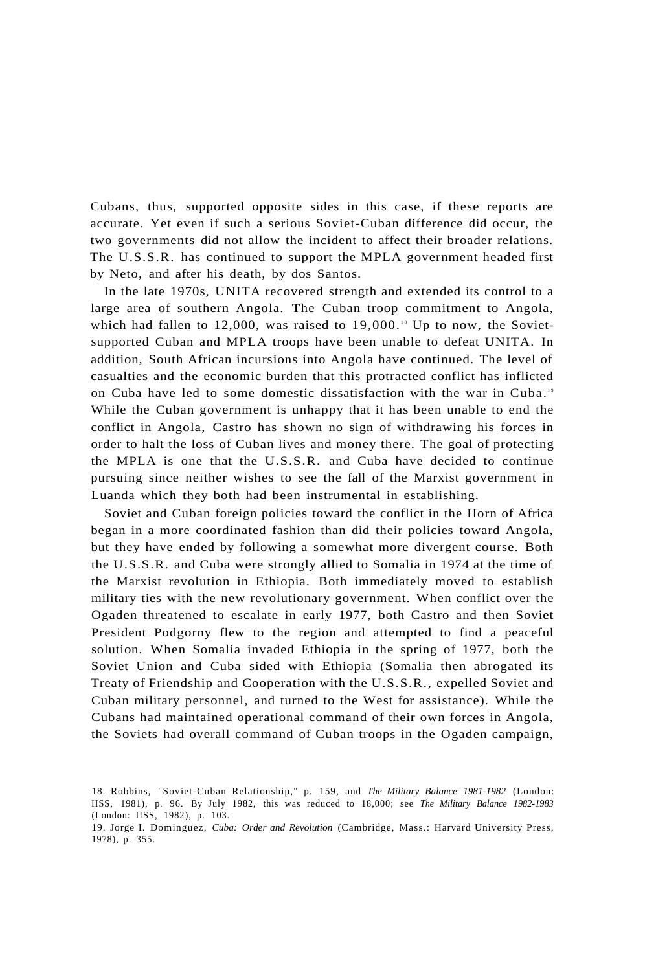Cubans, thus, supported opposite sides in this case, if these reports are accurate. Yet even if such a serious Soviet-Cuban difference did occur, the two governments did not allow the incident to affect their broader relations. The U.S.S.R. has continued to support the MPLA government headed first by Neto, and after his death, by dos Santos.

In the late 1970s, UNITA recovered strength and extended its control to a large area of southern Angola. The Cuban troop commitment to Angola, which had fallen to  $12,000$ , was raised to  $19,000$ .<sup>18</sup> Up to now, the Sovietsupported Cuban and MPLA troops have been unable to defeat UNITA. In addition, South African incursions into Angola have continued. The level of casualties and the economic burden that this protracted conflict has inflicted on Cuba have led to some domestic dissatisfaction with the war in Cuba.<sup>19</sup> While the Cuban government is unhappy that it has been unable to end the conflict in Angola, Castro has shown no sign of withdrawing his forces in order to halt the loss of Cuban lives and money there. The goal of protecting the MPLA is one that the U.S.S.R. and Cuba have decided to continue pursuing since neither wishes to see the fall of the Marxist government in Luanda which they both had been instrumental in establishing.

Soviet and Cuban foreign policies toward the conflict in the Horn of Africa began in a more coordinated fashion than did their policies toward Angola, but they have ended by following a somewhat more divergent course. Both the U.S.S.R. and Cuba were strongly allied to Somalia in 1974 at the time of the Marxist revolution in Ethiopia. Both immediately moved to establish military ties with the new revolutionary government. When conflict over the Ogaden threatened to escalate in early 1977, both Castro and then Soviet President Podgorny flew to the region and attempted to find a peaceful solution. When Somalia invaded Ethiopia in the spring of 1977, both the Soviet Union and Cuba sided with Ethiopia (Somalia then abrogated its Treaty of Friendship and Cooperation with the U.S.S.R., expelled Soviet and Cuban military personnel, and turned to the West for assistance). While the Cubans had maintained operational command of their own forces in Angola, the Soviets had overall command of Cuban troops in the Ogaden campaign,

<sup>18.</sup> Robbins, "Soviet-Cuban Relationship," p. 159, and *The Military Balance 1981-1982* (London: IISS, 1981), p. 96. By July 1982, this was reduced to 18,000; see *The Military Balance 1982-1983*  (London: IISS, 1982), p. 103.

<sup>19.</sup> Jorge I. Dominguez, *Cuba: Order and Revolution* (Cambridge, Mass.: Harvard University Press, 1978), p. 355.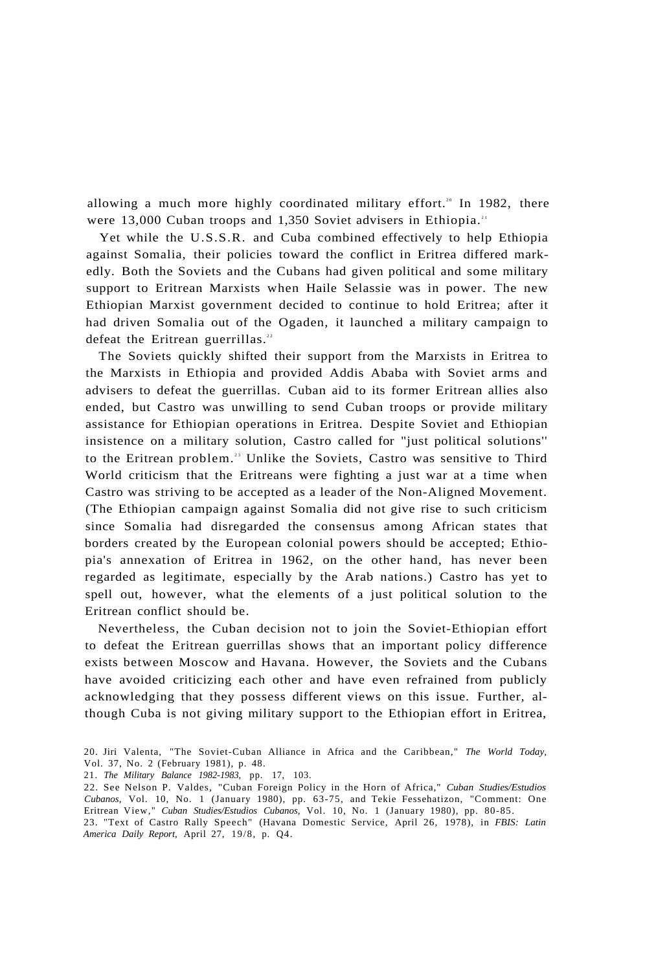allowing a much more highly coordinated military effort.<sup>20</sup> In 1982, there were 13,000 Cuban troops and 1,350 Soviet advisers in Ethiopia.<sup>21</sup>

Yet while the U.S.S.R. and Cuba combined effectively to help Ethiopia against Somalia, their policies toward the conflict in Eritrea differed markedly. Both the Soviets and the Cubans had given political and some military support to Eritrean Marxists when Haile Selassie was in power. The new Ethiopian Marxist government decided to continue to hold Eritrea; after it had driven Somalia out of the Ogaden, it launched a military campaign to defeat the Eritrean guerrillas.<sup>22</sup>

The Soviets quickly shifted their support from the Marxists in Eritrea to the Marxists in Ethiopia and provided Addis Ababa with Soviet arms and advisers to defeat the guerrillas. Cuban aid to its former Eritrean allies also ended, but Castro was unwilling to send Cuban troops or provide military assistance for Ethiopian operations in Eritrea. Despite Soviet and Ethiopian insistence on a military solution, Castro called for "just political solutions'' to the Eritrean problem.<sup>23</sup> Unlike the Soviets, Castro was sensitive to Third World criticism that the Eritreans were fighting a just war at a time when Castro was striving to be accepted as a leader of the Non-Aligned Movement. (The Ethiopian campaign against Somalia did not give rise to such criticism since Somalia had disregarded the consensus among African states that borders created by the European colonial powers should be accepted; Ethiopia's annexation of Eritrea in 1962, on the other hand, has never been regarded as legitimate, especially by the Arab nations.) Castro has yet to spell out, however, what the elements of a just political solution to the Eritrean conflict should be.

Nevertheless, the Cuban decision not to join the Soviet-Ethiopian effort to defeat the Eritrean guerrillas shows that an important policy difference exists between Moscow and Havana. However, the Soviets and the Cubans have avoided criticizing each other and have even refrained from publicly acknowledging that they possess different views on this issue. Further, although Cuba is not giving military support to the Ethiopian effort in Eritrea,

<sup>20.</sup> Jiri Valenta, "The Soviet-Cuban Alliance in Africa and the Caribbean," *The World Today,*  Vol. 37, No. 2 (February 1981), p. 48.

<sup>21.</sup> *The Military Balance 1982-1983,* pp. 17, 103.

<sup>22.</sup> See Nelson P. Valdes, "Cuban Foreign Policy in the Horn of Africa," *Cuban Studies/Estudios Cubanos,* Vol. 10, No. 1 (January 1980), pp. 63-75, and Tekie Fessehatizon, "Comment: One Eritrean View," *Cuban Studies/Estudios Cubanos,* Vol. 10, No. 1 (January 1980), pp. 80-85.

<sup>23. &</sup>quot;Text of Castro Rally Speech" (Havana Domestic Service, April 26, 1978), in *FBIS: Latin America Daily Report,* April 27, 19/8, p. Q4.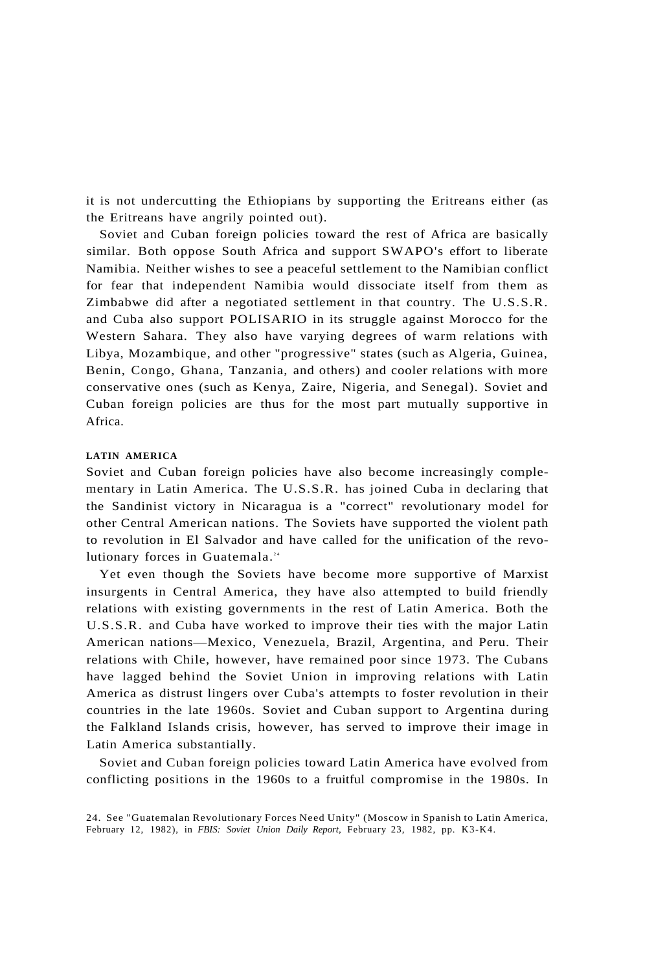it is not undercutting the Ethiopians by supporting the Eritreans either (as the Eritreans have angrily pointed out).

Soviet and Cuban foreign policies toward the rest of Africa are basically similar. Both oppose South Africa and support SWAPO's effort to liberate Namibia. Neither wishes to see a peaceful settlement to the Namibian conflict for fear that independent Namibia would dissociate itself from them as Zimbabwe did after a negotiated settlement in that country. The U.S.S.R. and Cuba also support POLISARIO in its struggle against Morocco for the Western Sahara. They also have varying degrees of warm relations with Libya, Mozambique, and other "progressive" states (such as Algeria, Guinea, Benin, Congo, Ghana, Tanzania, and others) and cooler relations with more conservative ones (such as Kenya, Zaire, Nigeria, and Senegal). Soviet and Cuban foreign policies are thus for the most part mutually supportive in Africa.

#### **LATIN AMERICA**

Soviet and Cuban foreign policies have also become increasingly complementary in Latin America. The U.S.S.R. has joined Cuba in declaring that the Sandinist victory in Nicaragua is a "correct" revolutionary model for other Central American nations. The Soviets have supported the violent path to revolution in El Salvador and have called for the unification of the revolutionary forces in Guatemala.<sup>24</sup>

Yet even though the Soviets have become more supportive of Marxist insurgents in Central America, they have also attempted to build friendly relations with existing governments in the rest of Latin America. Both the U.S.S.R. and Cuba have worked to improve their ties with the major Latin American nations—Mexico, Venezuela, Brazil, Argentina, and Peru. Their relations with Chile, however, have remained poor since 1973. The Cubans have lagged behind the Soviet Union in improving relations with Latin America as distrust lingers over Cuba's attempts to foster revolution in their countries in the late 1960s. Soviet and Cuban support to Argentina during the Falkland Islands crisis, however, has served to improve their image in Latin America substantially.

Soviet and Cuban foreign policies toward Latin America have evolved from conflicting positions in the 1960s to a fruitful compromise in the 1980s. In

<sup>24.</sup> See "Guatemalan Revolutionary Forces Need Unity" (Moscow in Spanish to Latin America, February 12, 1982), in *FBIS: Soviet Union Daily Report,* February 23, 1982, pp. K3-K4.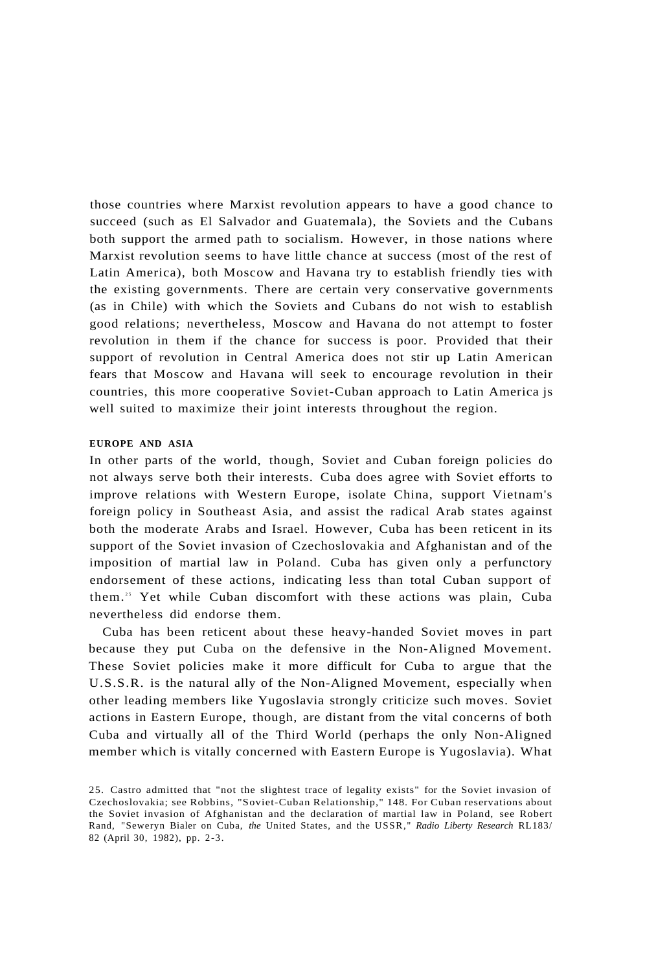those countries where Marxist revolution appears to have a good chance to succeed (such as El Salvador and Guatemala), the Soviets and the Cubans both support the armed path to socialism. However, in those nations where Marxist revolution seems to have little chance at success (most of the rest of Latin America), both Moscow and Havana try to establish friendly ties with the existing governments. There are certain very conservative governments (as in Chile) with which the Soviets and Cubans do not wish to establish good relations; nevertheless, Moscow and Havana do not attempt to foster revolution in them if the chance for success is poor. Provided that their support of revolution in Central America does not stir up Latin American fears that Moscow and Havana will seek to encourage revolution in their countries, this more cooperative Soviet-Cuban approach to Latin America js well suited to maximize their joint interests throughout the region.

#### **EUROPE AND ASIA**

In other parts of the world, though, Soviet and Cuban foreign policies do not always serve both their interests. Cuba does agree with Soviet efforts to improve relations with Western Europe, isolate China, support Vietnam's foreign policy in Southeast Asia, and assist the radical Arab states against both the moderate Arabs and Israel. However, Cuba has been reticent in its support of the Soviet invasion of Czechoslovakia and Afghanistan and of the imposition of martial law in Poland. Cuba has given only a perfunctory endorsement of these actions, indicating less than total Cuban support of them.<sup>25</sup> Yet while Cuban discomfort with these actions was plain, Cuba nevertheless did endorse them.

Cuba has been reticent about these heavy-handed Soviet moves in part because they put Cuba on the defensive in the Non-Aligned Movement. These Soviet policies make it more difficult for Cuba to argue that the U.S.S.R. is the natural ally of the Non-Aligned Movement, especially when other leading members like Yugoslavia strongly criticize such moves. Soviet actions in Eastern Europe, though, are distant from the vital concerns of both Cuba and virtually all of the Third World (perhaps the only Non-Aligned member which is vitally concerned with Eastern Europe is Yugoslavia). What

<sup>25.</sup> Castro admitted that "not the slightest trace of legality exists" for the Soviet invasion of Czechoslovakia; see Robbins, "Soviet-Cuban Relationship," 148. For Cuban reservations about the Soviet invasion of Afghanistan and the declaration of martial law in Poland, see Robert Rand, "Seweryn Bialer on Cuba, *the* United States, and the USSR, " *Radio Liberty Research* RL183/ 82 (April 30, 1982), pp. 2-3.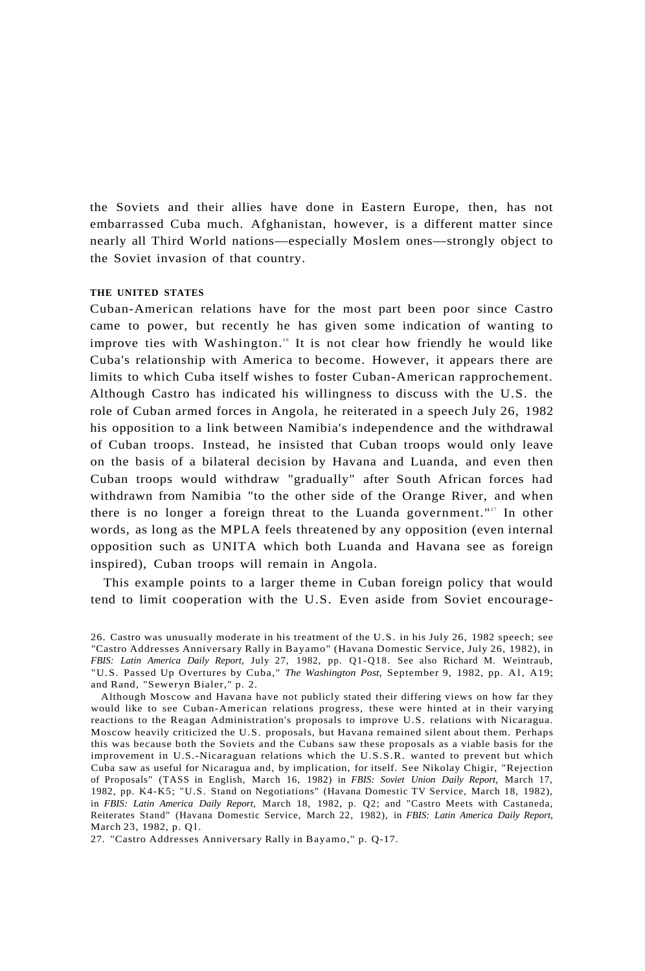the Soviets and their allies have done in Eastern Europe, then, has not embarrassed Cuba much. Afghanistan, however, is a different matter since nearly all Third World nations—especially Moslem ones—strongly object to the Soviet invasion of that country.

## **THE UNITED STATES**

Cuban-American relations have for the most part been poor since Castro came to power, but recently he has given some indication of wanting to improve ties with Washington.<sup>26</sup> It is not clear how friendly he would like Cuba's relationship with America to become. However, it appears there are limits to which Cuba itself wishes to foster Cuban-American rapprochement. Although Castro has indicated his willingness to discuss with the U.S. the role of Cuban armed forces in Angola, he reiterated in a speech July 26, 1982 his opposition to a link between Namibia's independence and the withdrawal of Cuban troops. Instead, he insisted that Cuban troops would only leave on the basis of a bilateral decision by Havana and Luanda, and even then Cuban troops would withdraw "gradually" after South African forces had withdrawn from Namibia "to the other side of the Orange River, and when there is no longer a foreign threat to the Luanda government."<sup>27</sup> In other words, as long as the MPLA feels threatened by any opposition (even internal opposition such as UNITA which both Luanda and Havana see as foreign inspired), Cuban troops will remain in Angola.

This example points to a larger theme in Cuban foreign policy that would tend to limit cooperation with the U.S. Even aside from Soviet encourage-

<sup>26.</sup> Castro was unusually moderate in his treatment of the U.S. in his July 26, 1982 speech; see "Castro Addresses Anniversary Rally in Bayamo" (Havana Domestic Service, July 26, 1982), in *FBIS: Latin America Daily Report,* July 27, 1982, pp. Q1-Q18. See also Richard M. Weintraub, "U.S. Passed Up Overtures by Cuba," *The Washington Post,* September 9, 1982, pp. Al , A19; and Rand, "Seweryn Bialer," p. 2.

Although Moscow and Havana have not publicly stated their differing views on how far they would like to see Cuban-American relations progress, these were hinted at in their varying reactions to the Reagan Administration's proposals to improve U.S. relations with Nicaragua. Moscow heavily criticized the U.S. proposals, but Havana remained silent about them. Perhaps this was because both the Soviets and the Cubans saw these proposals as a viable basis for the improvement in U.S.-Nicaraguan relations which the U.S.S.R. wanted to prevent but which Cuba saw as useful for Nicaragua and, by implication, for itself. See Nikolay Chigir, "Rejection of Proposals" (TASS in English, March 16, 1982) in *FBIS: Soviet Union Daily Report,* March 17, 1982, pp. K4-K5; "U.S. Stand on Negotiations" (Havana Domestic TV Service, March 18, 1982), in *FBIS: Latin America Daily Report,* March 18, 1982, p. Q2; and "Castro Meets with Castaneda, Reiterates Stand" (Havana Domestic Service, March 22, 1982), in *FBIS: Latin America Daily Report,*  March 23, 1982, p. Q1.

<sup>27. &</sup>quot;Castro Addresses Anniversary Rally in Bayamo," p. Q-17.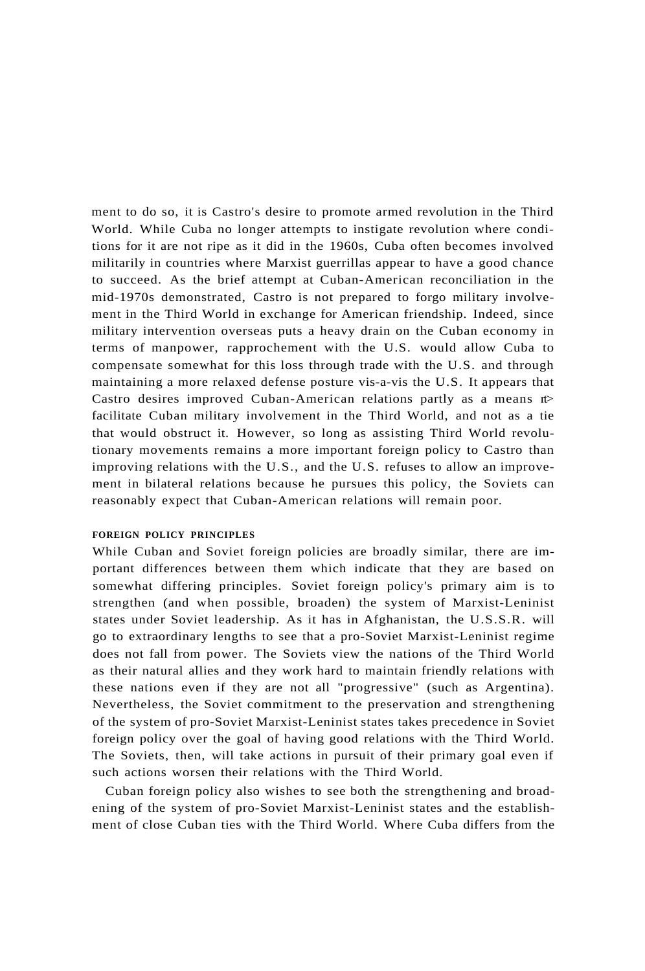ment to do so, it is Castro's desire to promote armed revolution in the Third World. While Cuba no longer attempts to instigate revolution where conditions for it are not ripe as it did in the 1960s, Cuba often becomes involved militarily in countries where Marxist guerrillas appear to have a good chance to succeed. As the brief attempt at Cuban-American reconciliation in the mid-1970s demonstrated, Castro is not prepared to forgo military involvement in the Third World in exchange for American friendship. Indeed, since military intervention overseas puts a heavy drain on the Cuban economy in terms of manpower, rapprochement with the U.S. would allow Cuba to compensate somewhat for this loss through trade with the U.S. and through maintaining a more relaxed defense posture vis-a-vis the U.S. It appears that Castro desires improved Cuban-American relations partly as a means  $t$ facilitate Cuban military involvement in the Third World, and not as a tie that would obstruct it. However, so long as assisting Third World revolutionary movements remains a more important foreign policy to Castro than improving relations with the U.S., and the U.S. refuses to allow an improvement in bilateral relations because he pursues this policy, the Soviets can reasonably expect that Cuban-American relations will remain poor.

# **FOREIGN POLICY PRINCIPLES**

While Cuban and Soviet foreign policies are broadly similar, there are important differences between them which indicate that they are based on somewhat differing principles. Soviet foreign policy's primary aim is to strengthen (and when possible, broaden) the system of Marxist-Leninist states under Soviet leadership. As it has in Afghanistan, the U.S.S.R. will go to extraordinary lengths to see that a pro-Soviet Marxist-Leninist regime does not fall from power. The Soviets view the nations of the Third World as their natural allies and they work hard to maintain friendly relations with these nations even if they are not all "progressive" (such as Argentina). Nevertheless, the Soviet commitment to the preservation and strengthening of the system of pro-Soviet Marxist-Leninist states takes precedence in Soviet foreign policy over the goal of having good relations with the Third World. The Soviets, then, will take actions in pursuit of their primary goal even if such actions worsen their relations with the Third World.

Cuban foreign policy also wishes to see both the strengthening and broadening of the system of pro-Soviet Marxist-Leninist states and the establishment of close Cuban ties with the Third World. Where Cuba differs from the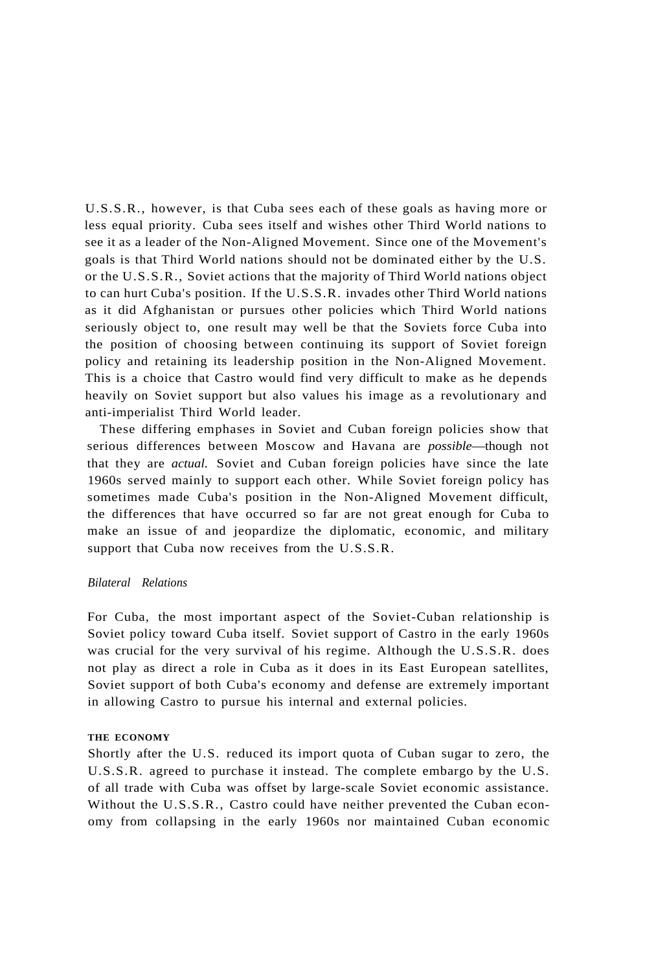U.S.S.R., however, is that Cuba sees each of these goals as having more or less equal priority. Cuba sees itself and wishes other Third World nations to see it as a leader of the Non-Aligned Movement. Since one of the Movement's goals is that Third World nations should not be dominated either by the U.S. or the U.S.S.R., Soviet actions that the majority of Third World nations object to can hurt Cuba's position. If the U.S.S.R. invades other Third World nations as it did Afghanistan or pursues other policies which Third World nations seriously object to, one result may well be that the Soviets force Cuba into the position of choosing between continuing its support of Soviet foreign policy and retaining its leadership position in the Non-Aligned Movement. This is a choice that Castro would find very difficult to make as he depends heavily on Soviet support but also values his image as a revolutionary and anti-imperialist Third World leader.

These differing emphases in Soviet and Cuban foreign policies show that serious differences between Moscow and Havana are *possible*—though not that they are *actual.* Soviet and Cuban foreign policies have since the late 1960s served mainly to support each other. While Soviet foreign policy has sometimes made Cuba's position in the Non-Aligned Movement difficult, the differences that have occurred so far are not great enough for Cuba to make an issue of and jeopardize the diplomatic, economic, and military support that Cuba now receives from the U.S.S.R.

## *Bilateral Relations*

For Cuba, the most important aspect of the Soviet-Cuban relationship is Soviet policy toward Cuba itself. Soviet support of Castro in the early 1960s was crucial for the very survival of his regime. Although the U.S.S.R. does not play as direct a role in Cuba as it does in its East European satellites, Soviet support of both Cuba's economy and defense are extremely important in allowing Castro to pursue his internal and external policies.

## **THE ECONOMY**

Shortly after the U.S. reduced its import quota of Cuban sugar to zero, the U.S.S.R. agreed to purchase it instead. The complete embargo by the U.S. of all trade with Cuba was offset by large-scale Soviet economic assistance. Without the U.S.S.R., Castro could have neither prevented the Cuban economy from collapsing in the early 1960s nor maintained Cuban economic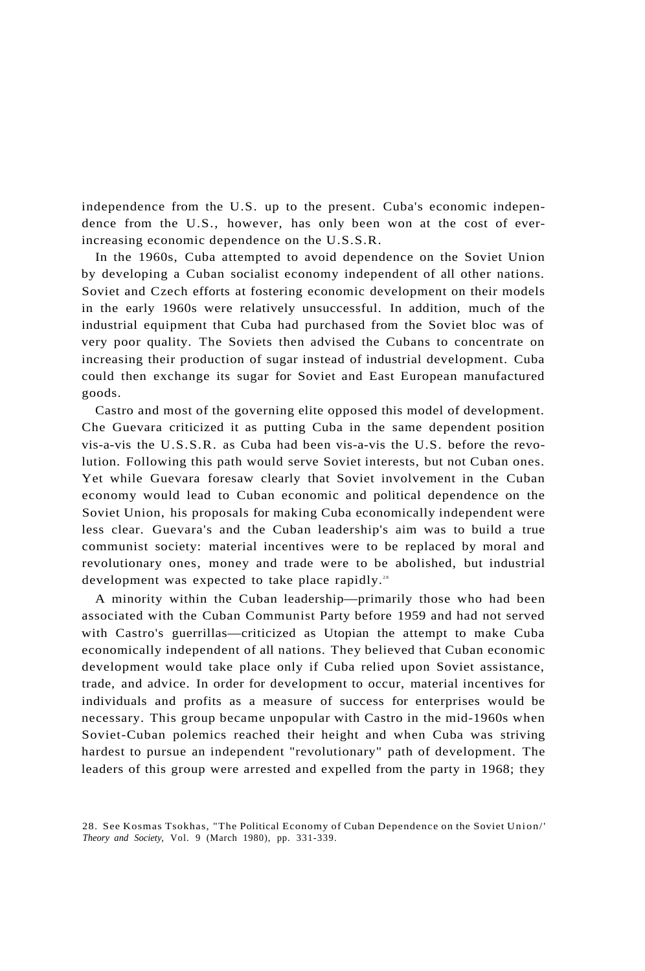independence from the U.S. up to the present. Cuba's economic independence from the U.S., however, has only been won at the cost of everincreasing economic dependence on the U.S.S.R.

In the 1960s, Cuba attempted to avoid dependence on the Soviet Union by developing a Cuban socialist economy independent of all other nations. Soviet and Czech efforts at fostering economic development on their models in the early 1960s were relatively unsuccessful. In addition, much of the industrial equipment that Cuba had purchased from the Soviet bloc was of very poor quality. The Soviets then advised the Cubans to concentrate on increasing their production of sugar instead of industrial development. Cuba could then exchange its sugar for Soviet and East European manufactured goods.

Castro and most of the governing elite opposed this model of development. Che Guevara criticized it as putting Cuba in the same dependent position vis-a-vis the U.S.S.R. as Cuba had been vis-a-vis the U.S. before the revolution. Following this path would serve Soviet interests, but not Cuban ones. Yet while Guevara foresaw clearly that Soviet involvement in the Cuban economy would lead to Cuban economic and political dependence on the Soviet Union, his proposals for making Cuba economically independent were less clear. Guevara's and the Cuban leadership's aim was to build a true communist society: material incentives were to be replaced by moral and revolutionary ones, money and trade were to be abolished, but industrial development was expected to take place rapidly.<sup>28</sup>

A minority within the Cuban leadership—primarily those who had been associated with the Cuban Communist Party before 1959 and had not served with Castro's guerrillas—criticized as Utopian the attempt to make Cuba economically independent of all nations. They believed that Cuban economic development would take place only if Cuba relied upon Soviet assistance, trade, and advice. In order for development to occur, material incentives for individuals and profits as a measure of success for enterprises would be necessary. This group became unpopular with Castro in the mid-1960s when Soviet-Cuban polemics reached their height and when Cuba was striving hardest to pursue an independent "revolutionary" path of development. The leaders of this group were arrested and expelled from the party in 1968; they

<sup>28.</sup> See Kosmas Tsokhas, "The Political Economy of Cuban Dependence on the Soviet Union/' *Theory and Society,* Vol. 9 (March 1980), pp. 331-339.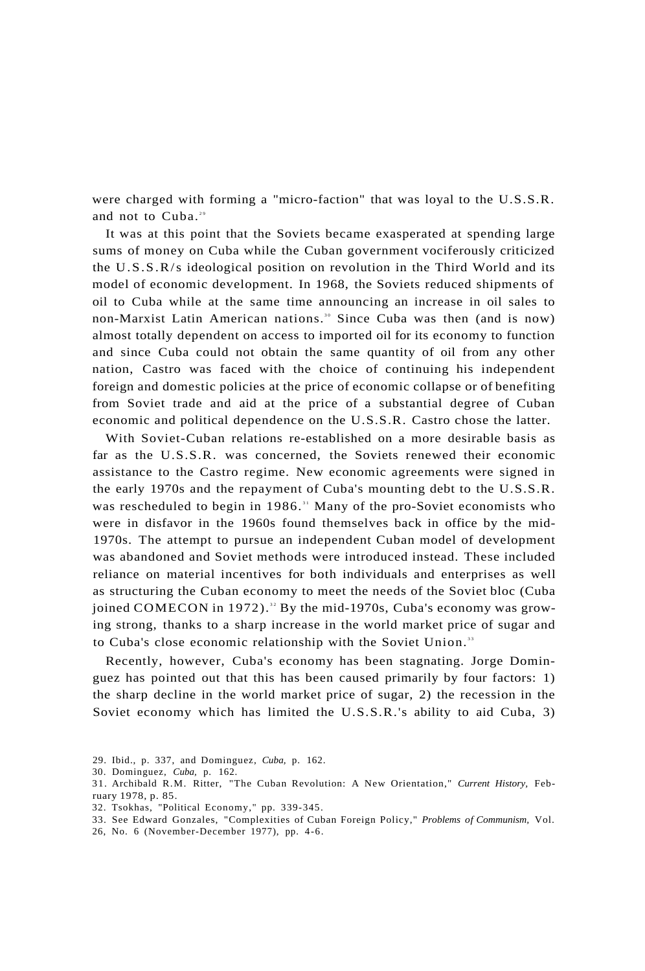were charged with forming a "micro-faction" that was loyal to the U.S.S.R. and not to  $Cuba.^{29}$ 

It was at this point that the Soviets became exasperated at spending large sums of money on Cuba while the Cuban government vociferously criticized the U.S.S.R/s ideological position on revolution in the Third World and its model of economic development. In 1968, the Soviets reduced shipments of oil to Cuba while at the same time announcing an increase in oil sales to non-Marxist Latin American nations.<sup>30</sup> Since Cuba was then (and is now) almost totally dependent on access to imported oil for its economy to function and since Cuba could not obtain the same quantity of oil from any other nation, Castro was faced with the choice of continuing his independent foreign and domestic policies at the price of economic collapse or of benefiting from Soviet trade and aid at the price of a substantial degree of Cuban economic and political dependence on the U.S.S.R. Castro chose the latter.

With Soviet-Cuban relations re-established on a more desirable basis as far as the U.S.S.R. was concerned, the Soviets renewed their economic assistance to the Castro regime. New economic agreements were signed in the early 1970s and the repayment of Cuba's mounting debt to the U.S.S.R. was rescheduled to begin in 1986.<sup>31</sup> Many of the pro-Soviet economists who were in disfavor in the 1960s found themselves back in office by the mid-1970s. The attempt to pursue an independent Cuban model of development was abandoned and Soviet methods were introduced instead. These included reliance on material incentives for both individuals and enterprises as well as structuring the Cuban economy to meet the needs of the Soviet bloc (Cuba joined COMECON in 1972).<sup>32</sup> By the mid-1970s, Cuba's economy was growing strong, thanks to a sharp increase in the world market price of sugar and to Cuba's close economic relationship with the Soviet Union.<sup>33</sup>

Recently, however, Cuba's economy has been stagnating. Jorge Dominguez has pointed out that this has been caused primarily by four factors: 1) the sharp decline in the world market price of sugar, 2) the recession in the Soviet economy which has limited the U.S.S.R.'s ability to aid Cuba, 3)

- 29. Ibid., p. 337, and Dominguez, *Cuba,* p. 162.
- 30. Dominguez, *Cuba,* p. 162.
- 31. Archibald R.M. Ritter, "The Cuban Revolution: A New Orientation," *Current History,* February 1978, p. 85.
- 32. Tsokhas, "Political Economy," pp. 339-345.
- 33. See Edward Gonzales, "Complexities of Cuban Foreign Policy," *Problems of Communism,* Vol.
- 26, No. 6 (November-December 1977), pp. 4-6.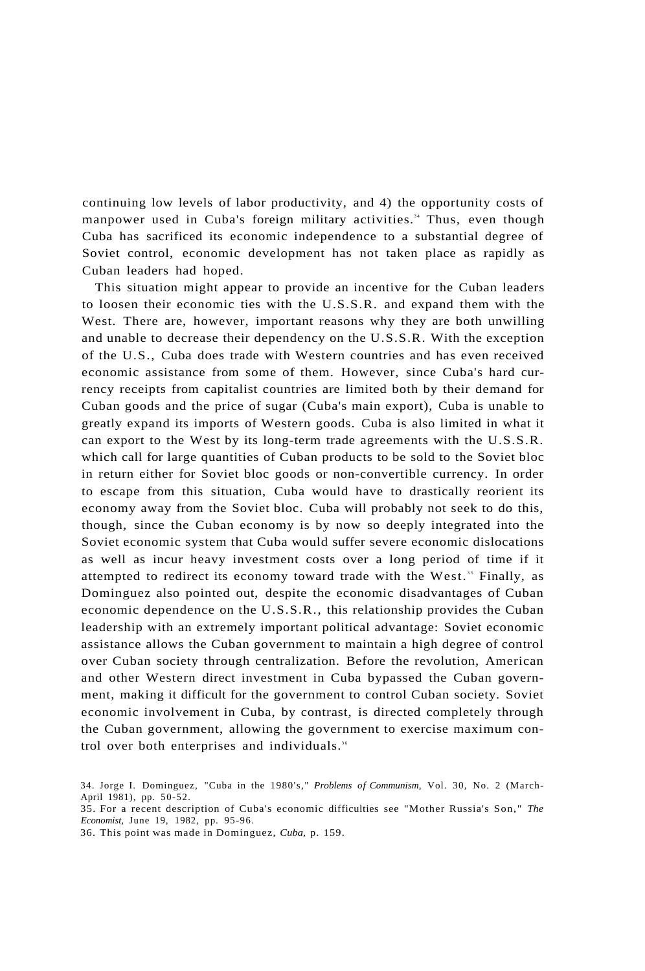continuing low levels of labor productivity, and 4) the opportunity costs of manpower used in Cuba's foreign military activities.<sup>34</sup> Thus, even though Cuba has sacrificed its economic independence to a substantial degree of Soviet control, economic development has not taken place as rapidly as Cuban leaders had hoped.

This situation might appear to provide an incentive for the Cuban leaders to loosen their economic ties with the U.S.S.R. and expand them with the West. There are, however, important reasons why they are both unwilling and unable to decrease their dependency on the U.S.S.R. With the exception of the U.S., Cuba does trade with Western countries and has even received economic assistance from some of them. However, since Cuba's hard currency receipts from capitalist countries are limited both by their demand for Cuban goods and the price of sugar (Cuba's main export), Cuba is unable to greatly expand its imports of Western goods. Cuba is also limited in what it can export to the West by its long-term trade agreements with the U.S.S.R. which call for large quantities of Cuban products to be sold to the Soviet bloc in return either for Soviet bloc goods or non-convertible currency. In order to escape from this situation, Cuba would have to drastically reorient its economy away from the Soviet bloc. Cuba will probably not seek to do this, though, since the Cuban economy is by now so deeply integrated into the Soviet economic system that Cuba would suffer severe economic dislocations as well as incur heavy investment costs over a long period of time if it attempted to redirect its economy toward trade with the West.<sup>35</sup> Finally, as Dominguez also pointed out, despite the economic disadvantages of Cuban economic dependence on the U.S.S.R., this relationship provides the Cuban leadership with an extremely important political advantage: Soviet economic assistance allows the Cuban government to maintain a high degree of control over Cuban society through centralization. Before the revolution, American and other Western direct investment in Cuba bypassed the Cuban government, making it difficult for the government to control Cuban society. Soviet economic involvement in Cuba, by contrast, is directed completely through the Cuban government, allowing the government to exercise maximum control over both enterprises and individuals.<sup>36</sup>

<sup>34.</sup> Jorge I. Dominguez, "Cuba in the 1980's," *Problems of Communism,* Vol. 30, No. 2 (March-April 1981), pp. 50-52.

<sup>35.</sup> For a recent description of Cuba's economic difficulties see "Mother Russia's Son," *The Economist,* June 19, 1982, pp. 95-96.

<sup>36.</sup> This point was made in Dominguez, *Cuba,* p. 159.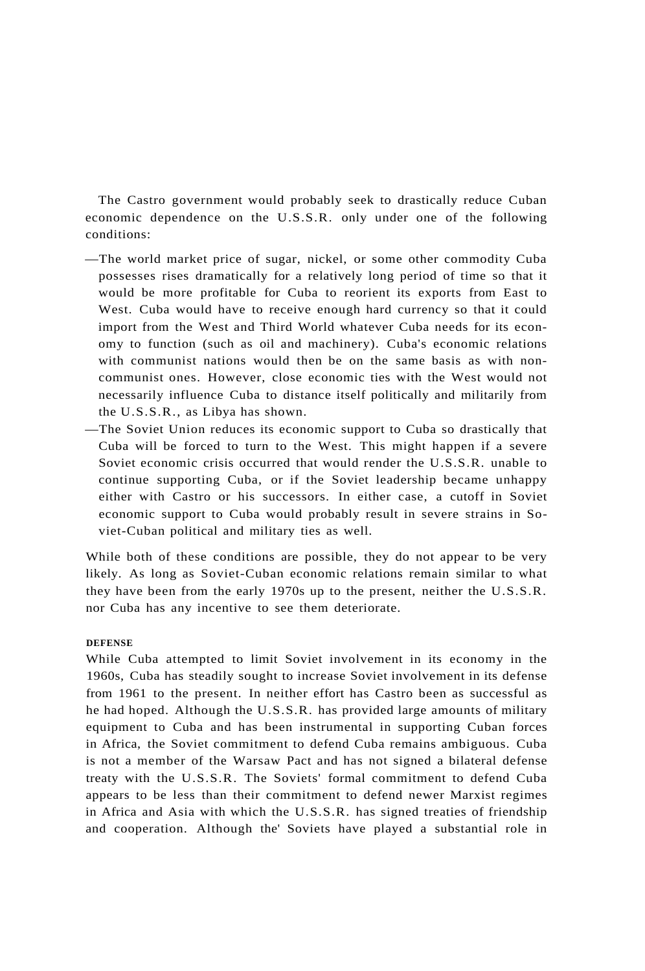The Castro government would probably seek to drastically reduce Cuban economic dependence on the U.S.S.R. only under one of the following conditions:

- —The world market price of sugar, nickel, or some other commodity Cuba possesses rises dramatically for a relatively long period of time so that it would be more profitable for Cuba to reorient its exports from East to West. Cuba would have to receive enough hard currency so that it could import from the West and Third World whatever Cuba needs for its economy to function (such as oil and machinery). Cuba's economic relations with communist nations would then be on the same basis as with noncommunist ones. However, close economic ties with the West would not necessarily influence Cuba to distance itself politically and militarily from the U.S.S.R., as Libya has shown.
- —The Soviet Union reduces its economic support to Cuba so drastically that Cuba will be forced to turn to the West. This might happen if a severe Soviet economic crisis occurred that would render the U.S.S.R. unable to continue supporting Cuba, or if the Soviet leadership became unhappy either with Castro or his successors. In either case, a cutoff in Soviet economic support to Cuba would probably result in severe strains in Soviet-Cuban political and military ties as well.

While both of these conditions are possible, they do not appear to be very likely. As long as Soviet-Cuban economic relations remain similar to what they have been from the early 1970s up to the present, neither the U.S.S.R. nor Cuba has any incentive to see them deteriorate.

#### **DEFENSE**

While Cuba attempted to limit Soviet involvement in its economy in the 1960s, Cuba has steadily sought to increase Soviet involvement in its defense from 1961 to the present. In neither effort has Castro been as successful as he had hoped. Although the U.S.S.R. has provided large amounts of military equipment to Cuba and has been instrumental in supporting Cuban forces in Africa, the Soviet commitment to defend Cuba remains ambiguous. Cuba is not a member of the Warsaw Pact and has not signed a bilateral defense treaty with the U.S.S.R. The Soviets' formal commitment to defend Cuba appears to be less than their commitment to defend newer Marxist regimes in Africa and Asia with which the U.S.S.R. has signed treaties of friendship and cooperation. Although the' Soviets have played a substantial role in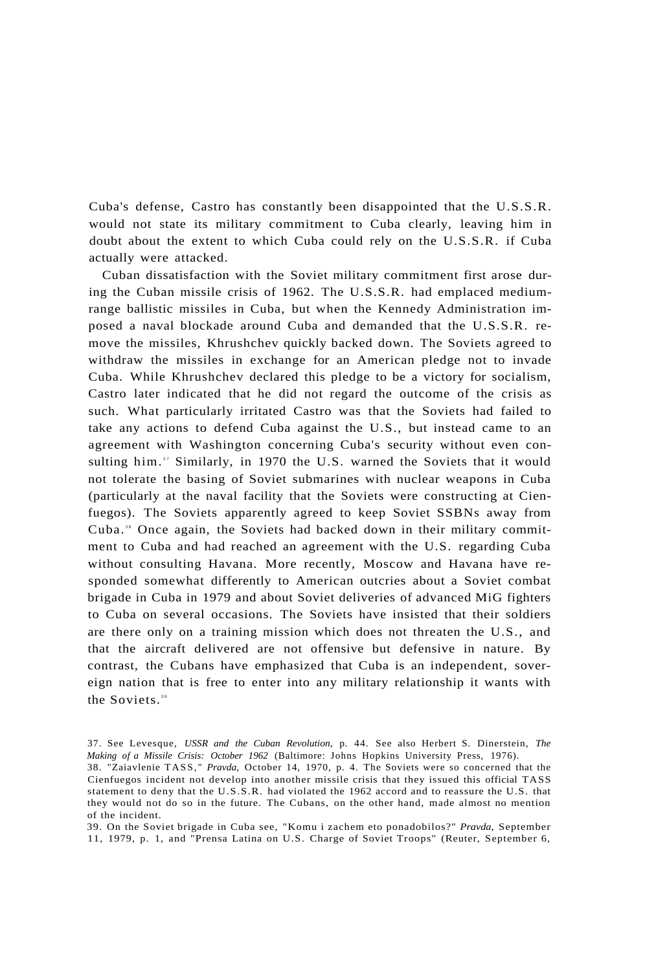Cuba's defense, Castro has constantly been disappointed that the U.S.S.R. would not state its military commitment to Cuba clearly, leaving him in doubt about the extent to which Cuba could rely on the U.S.S.R. if Cuba actually were attacked.

Cuban dissatisfaction with the Soviet military commitment first arose during the Cuban missile crisis of 1962. The U.S.S.R. had emplaced mediumrange ballistic missiles in Cuba, but when the Kennedy Administration imposed a naval blockade around Cuba and demanded that the U.S.S.R. remove the missiles, Khrushchev quickly backed down. The Soviets agreed to withdraw the missiles in exchange for an American pledge not to invade Cuba. While Khrushchev declared this pledge to be a victory for socialism, Castro later indicated that he did not regard the outcome of the crisis as such. What particularly irritated Castro was that the Soviets had failed to take any actions to defend Cuba against the U.S., but instead came to an agreement with Washington concerning Cuba's security without even consulting him." Similarly, in 1970 the U.S. warned the Soviets that it would not tolerate the basing of Soviet submarines with nuclear weapons in Cuba (particularly at the naval facility that the Soviets were constructing at Cienfuegos). The Soviets apparently agreed to keep Soviet SSBNs away from Cuba.<sup>38</sup> Once again, the Soviets had backed down in their military commitment to Cuba and had reached an agreement with the U.S. regarding Cuba without consulting Havana. More recently, Moscow and Havana have responded somewhat differently to American outcries about a Soviet combat brigade in Cuba in 1979 and about Soviet deliveries of advanced MiG fighters to Cuba on several occasions. The Soviets have insisted that their soldiers are there only on a training mission which does not threaten the U.S., and that the aircraft delivered are not offensive but defensive in nature. By contrast, the Cubans have emphasized that Cuba is an independent, sovereign nation that is free to enter into any military relationship it wants with the Soviets.<sup>39</sup>

39. On the Soviet brigade in Cuba see, "Komu i zachem eto ponadobilos?" *Pravda,* September 11, 1979, p. 1, and "Prensa Latina on U.S. Charge of Soviet Troops" (Reuter, September 6,

<sup>37.</sup> See Levesque, *USSR and the Cuban Revolution,* p. 44. See also Herbert S. Dinerstein, *The Making of a Missile Crisis: October 1962* (Baltimore: Johns Hopkins University Press, 1976).

<sup>38. &</sup>quot;Zaiavlenie TASS, " *Pravda,* October 14, 1970, p. 4. The Soviets were so concerned that the Cienfuegos incident not develop into another missile crisis that they issued this official TASS statement to deny that the U.S.S.R. had violated the 1962 accord and to reassure the U.S. that they would not do so in the future. The Cubans, on the other hand, made almost no mention of the incident.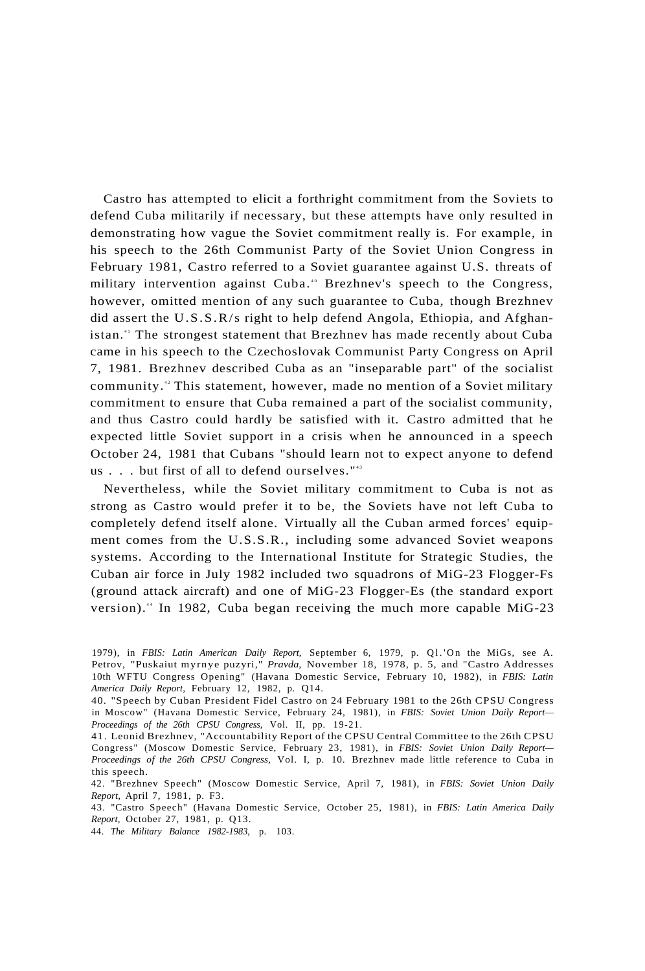Castro has attempted to elicit a forthright commitment from the Soviets to defend Cuba militarily if necessary, but these attempts have only resulted in demonstrating how vague the Soviet commitment really is. For example, in his speech to the 26th Communist Party of the Soviet Union Congress in February 1981, Castro referred to a Soviet guarantee against U.S. threats of military intervention against Cuba.<sup>40</sup> Brezhnev's speech to the Congress, however, omitted mention of any such guarantee to Cuba, though Brezhnev did assert the U.S.S.R/s right to help defend Angola, Ethiopia, and Afghanistan.<sup>4</sup> The strongest statement that Brezhnev has made recently about Cuba came in his speech to the Czechoslovak Communist Party Congress on April 7, 1981. Brezhnev described Cuba as an "inseparable part" of the socialist community.<sup>42</sup> This statement, however, made no mention of a Soviet military commitment to ensure that Cuba remained a part of the socialist community, and thus Castro could hardly be satisfied with it. Castro admitted that he expected little Soviet support in a crisis when he announced in a speech October 24, 1981 that Cubans "should learn not to expect anyone to defend us  $\ldots$  but first of all to defend ourselves."<sup>43</sup>

Nevertheless, while the Soviet military commitment to Cuba is not as strong as Castro would prefer it to be, the Soviets have not left Cuba to completely defend itself alone. Virtually all the Cuban armed forces' equipment comes from the U.S.S.R., including some advanced Soviet weapons systems. According to the International Institute for Strategic Studies, the Cuban air force in July 1982 included two squadrons of MiG-23 Flogger-Fs (ground attack aircraft) and one of MiG-23 Flogger-Es (the standard export version).<sup>44</sup> In 1982, Cuba began receiving the much more capable MiG-23

<sup>1979),</sup> in FBIS: Latin American Daily Report, September 6, 1979, p. Q1.'On the MiGs, see A. Petrov, "Puskaiut myrnye puzyri," *Pravda,* November 18, 1978, p. 5, and "Castro Addresses 10th WFTU Congress Opening" (Havana Domestic Service, February 10, 1982), in *FBIS: Latin America Daily Report,* February 12, 1982, p. Q14.

<sup>40. &</sup>quot;Speech by Cuban President Fidel Castro on 24 February 1981 to the 26th CPSU Congress in Moscow" (Havana Domestic Service, February 24, 1981), in *FBIS: Soviet Union Daily Report— Proceedings of the 26th CPSU Congress,* Vol. II, pp. 19-21.

<sup>41.</sup> Leonid Brezhnev, "Accountability Report of the CPSU Central Committee to the 26th CPSU Congress" (Moscow Domestic Service, February 23, 1981), in *FBIS: Soviet Union Daily Report— Proceedings of the 26th CPSU Congress,* Vol. I, p. 10. Brezhnev made little reference to Cuba in this speech.

<sup>42. &</sup>quot;Brezhnev Speech" (Moscow Domestic Service, April 7, 1981), in *FBIS: Soviet Union Daily Report,* April 7, 1981, p. F3.

<sup>43. &</sup>quot;Castro Speech" (Havana Domestic Service, October 25, 1981), in *FBIS: Latin America Daily Report,* October 27, 1981, p. Q13.

<sup>44.</sup> *The Military Balance 1982-1983,* p. 103.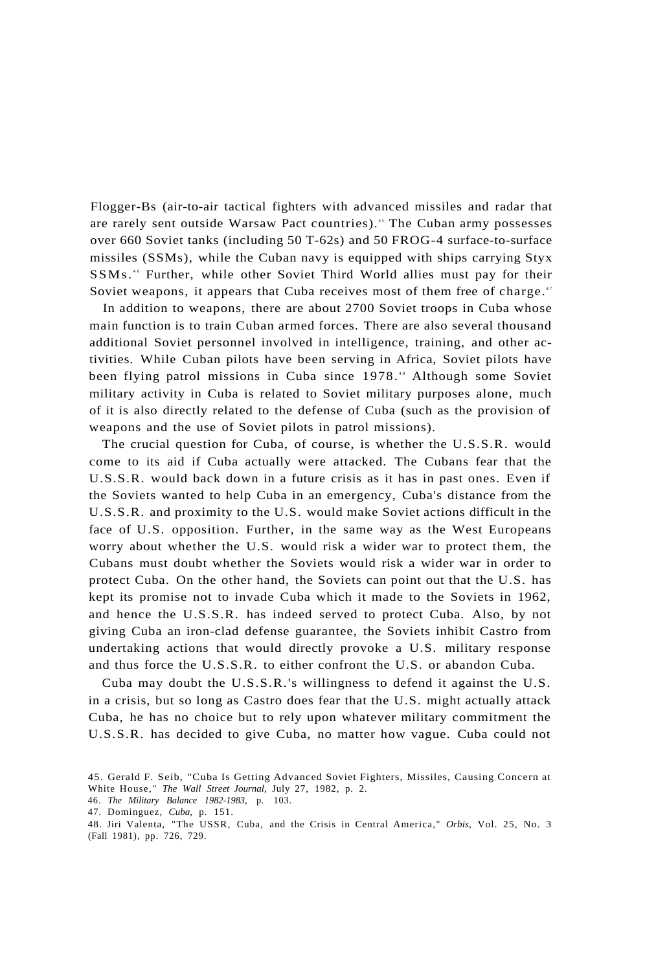Flogger-Bs (air-to-air tactical fighters with advanced missiles and radar that are rarely sent outside Warsaw Pact countries).<sup>45</sup> The Cuban army possesses over 660 Soviet tanks (including 50 T-62s) and 50 FROG-4 surface-to-surface missiles (SSMs), while the Cuban navy is equipped with ships carrying Styx SSMs.<sup>46</sup> Further, while other Soviet Third World allies must pay for their Soviet weapons, it appears that Cuba receives most of them free of charge.<sup>47</sup>

In addition to weapons, there are about 2700 Soviet troops in Cuba whose main function is to train Cuban armed forces. There are also several thousand additional Soviet personnel involved in intelligence, training, and other activities. While Cuban pilots have been serving in Africa, Soviet pilots have been flying patrol missions in Cuba since 1978.<sup>48</sup> Although some Soviet military activity in Cuba is related to Soviet military purposes alone, much of it is also directly related to the defense of Cuba (such as the provision of weapons and the use of Soviet pilots in patrol missions).

The crucial question for Cuba, of course, is whether the U.S.S.R. would come to its aid if Cuba actually were attacked. The Cubans fear that the U.S.S.R. would back down in a future crisis as it has in past ones. Even if the Soviets wanted to help Cuba in an emergency, Cuba's distance from the U.S.S.R. and proximity to the U.S. would make Soviet actions difficult in the face of U.S. opposition. Further, in the same way as the West Europeans worry about whether the U.S. would risk a wider war to protect them, the Cubans must doubt whether the Soviets would risk a wider war in order to protect Cuba. On the other hand, the Soviets can point out that the U.S. has kept its promise not to invade Cuba which it made to the Soviets in 1962, and hence the U.S.S.R. has indeed served to protect Cuba. Also, by not giving Cuba an iron-clad defense guarantee, the Soviets inhibit Castro from undertaking actions that would directly provoke a U.S. military response and thus force the U.S.S.R. to either confront the U.S. or abandon Cuba.

Cuba may doubt the U.S.S.R.'s willingness to defend it against the U.S. in a crisis, but so long as Castro does fear that the U.S. might actually attack Cuba, he has no choice but to rely upon whatever military commitment the U.S.S.R. has decided to give Cuba, no matter how vague. Cuba could not

<sup>45.</sup> Gerald F. Seib, "Cuba Is Getting Advanced Soviet Fighters, Missiles, Causing Concern at White House," *The Wall Street Journal,* July 27, 1982, p. 2.

<sup>46.</sup> *The Military Balance 1982-1983,* p. 103.

<sup>47.</sup> Dominguez, *Cuba,* p. 151.

<sup>48.</sup> Jiri Valenta, "The USSR, Cuba, and the Crisis in Central America," *Orbis,* Vol. 25, No. 3 (Fall 1981), pp. 726, 729.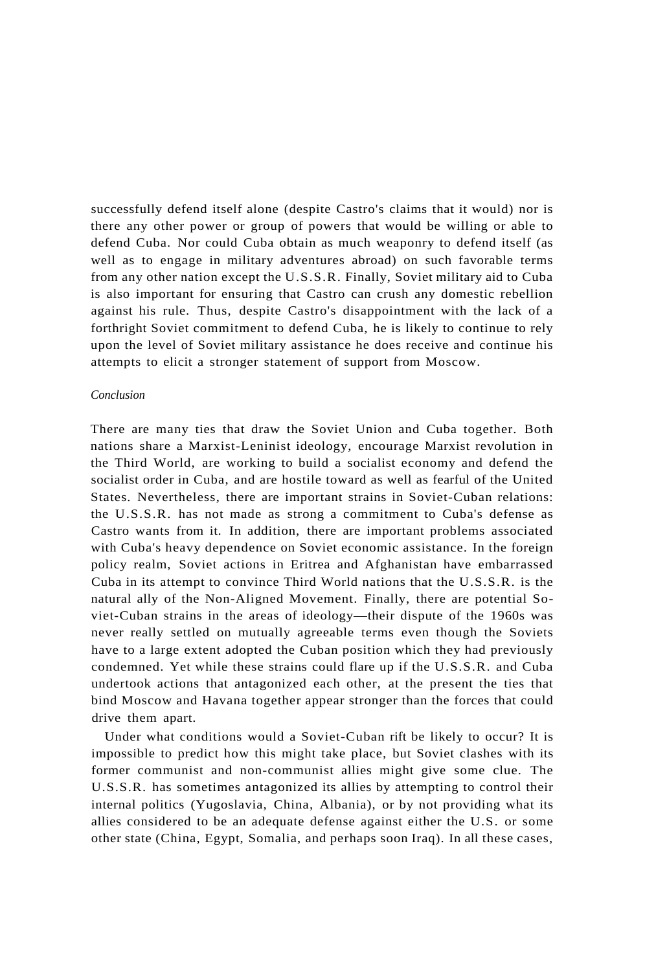successfully defend itself alone (despite Castro's claims that it would) nor is there any other power or group of powers that would be willing or able to defend Cuba. Nor could Cuba obtain as much weaponry to defend itself (as well as to engage in military adventures abroad) on such favorable terms from any other nation except the U.S.S.R. Finally, Soviet military aid to Cuba is also important for ensuring that Castro can crush any domestic rebellion against his rule. Thus, despite Castro's disappointment with the lack of a forthright Soviet commitment to defend Cuba, he is likely to continue to rely upon the level of Soviet military assistance he does receive and continue his attempts to elicit a stronger statement of support from Moscow.

### *Conclusion*

There are many ties that draw the Soviet Union and Cuba together. Both nations share a Marxist-Leninist ideology, encourage Marxist revolution in the Third World, are working to build a socialist economy and defend the socialist order in Cuba, and are hostile toward as well as fearful of the United States. Nevertheless, there are important strains in Soviet-Cuban relations: the U.S.S.R. has not made as strong a commitment to Cuba's defense as Castro wants from it. In addition, there are important problems associated with Cuba's heavy dependence on Soviet economic assistance. In the foreign policy realm, Soviet actions in Eritrea and Afghanistan have embarrassed Cuba in its attempt to convince Third World nations that the U.S.S.R. is the natural ally of the Non-Aligned Movement. Finally, there are potential Soviet-Cuban strains in the areas of ideology—their dispute of the 1960s was never really settled on mutually agreeable terms even though the Soviets have to a large extent adopted the Cuban position which they had previously condemned. Yet while these strains could flare up if the U.S.S.R. and Cuba undertook actions that antagonized each other, at the present the ties that bind Moscow and Havana together appear stronger than the forces that could drive them apart.

Under what conditions would a Soviet-Cuban rift be likely to occur? It is impossible to predict how this might take place, but Soviet clashes with its former communist and non-communist allies might give some clue. The U.S.S.R. has sometimes antagonized its allies by attempting to control their internal politics (Yugoslavia, China, Albania), or by not providing what its allies considered to be an adequate defense against either the U.S. or some other state (China, Egypt, Somalia, and perhaps soon Iraq). In all these cases,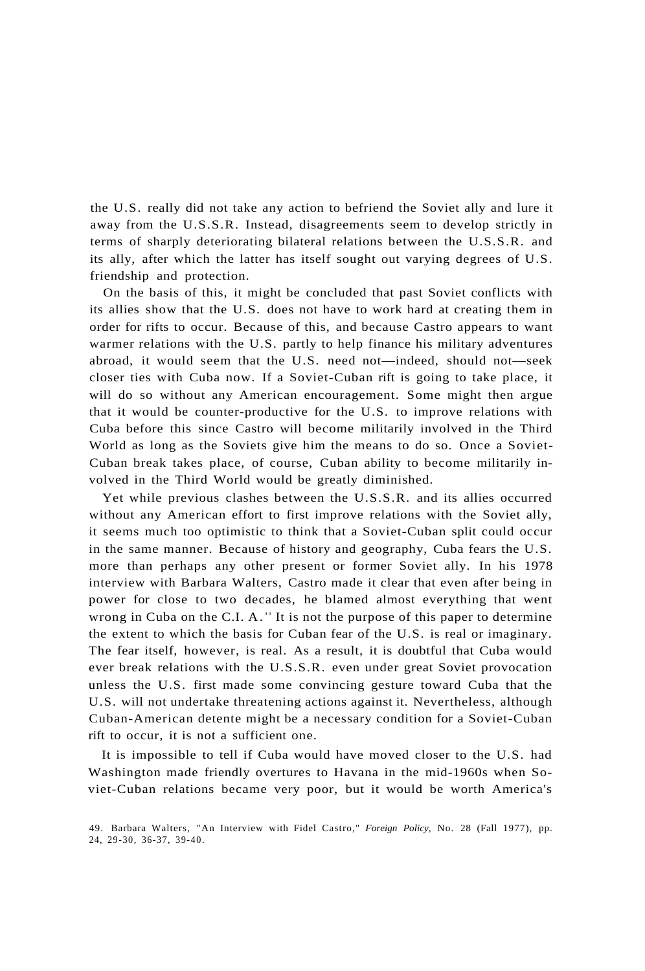the U.S. really did not take any action to befriend the Soviet ally and lure it away from the U.S.S.R. Instead, disagreements seem to develop strictly in terms of sharply deteriorating bilateral relations between the U.S.S.R. and its ally, after which the latter has itself sought out varying degrees of U.S. friendship and protection.

On the basis of this, it might be concluded that past Soviet conflicts with its allies show that the U.S. does not have to work hard at creating them in order for rifts to occur. Because of this, and because Castro appears to want warmer relations with the U.S. partly to help finance his military adventures abroad, it would seem that the U.S. need not—indeed, should not—seek closer ties with Cuba now. If a Soviet-Cuban rift is going to take place, it will do so without any American encouragement. Some might then argue that it would be counter-productive for the U.S. to improve relations with Cuba before this since Castro will become militarily involved in the Third World as long as the Soviets give him the means to do so. Once a Soviet-Cuban break takes place, of course, Cuban ability to become militarily involved in the Third World would be greatly diminished.

Yet while previous clashes between the U.S.S.R. and its allies occurred without any American effort to first improve relations with the Soviet ally, it seems much too optimistic to think that a Soviet-Cuban split could occur in the same manner. Because of history and geography, Cuba fears the U.S. more than perhaps any other present or former Soviet ally. In his 1978 interview with Barbara Walters, Castro made it clear that even after being in power for close to two decades, he blamed almost everything that went wrong in Cuba on the C.I. A. $4$ <sup>o</sup> It is not the purpose of this paper to determine the extent to which the basis for Cuban fear of the U.S. is real or imaginary. The fear itself, however, is real. As a result, it is doubtful that Cuba would ever break relations with the U.S.S.R. even under great Soviet provocation unless the U.S. first made some convincing gesture toward Cuba that the U.S. will not undertake threatening actions against it. Nevertheless, although Cuban-American detente might be a necessary condition for a Soviet-Cuban rift to occur, it is not a sufficient one.

It is impossible to tell if Cuba would have moved closer to the U.S. had Washington made friendly overtures to Havana in the mid-1960s when Soviet-Cuban relations became very poor, but it would be worth America's

<sup>49.</sup> Barbara Walters, "An Interview with Fidel Castro," *Foreign Policy,* No. 28 (Fall 1977), pp. 24, 29-30, 36-37, 39-40.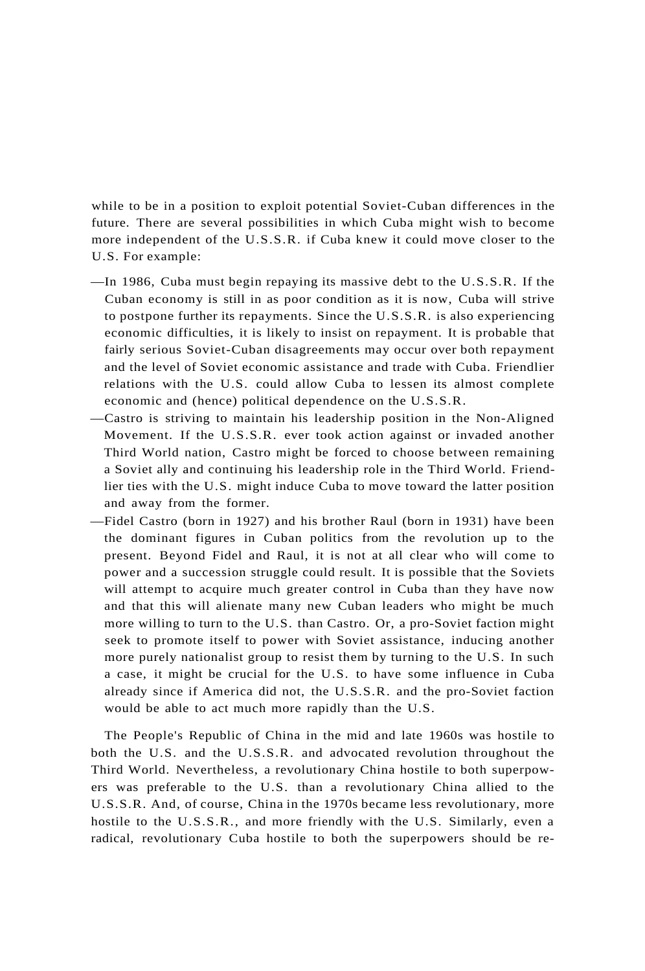while to be in a position to exploit potential Soviet-Cuban differences in the future. There are several possibilities in which Cuba might wish to become more independent of the U.S.S.R. if Cuba knew it could move closer to the U.S. For example:

- —In 1986, Cuba must begin repaying its massive debt to the U.S.S.R. If the Cuban economy is still in as poor condition as it is now, Cuba will strive to postpone further its repayments. Since the U.S.S.R. is also experiencing economic difficulties, it is likely to insist on repayment. It is probable that fairly serious Soviet-Cuban disagreements may occur over both repayment and the level of Soviet economic assistance and trade with Cuba. Friendlier relations with the U.S. could allow Cuba to lessen its almost complete economic and (hence) political dependence on the U.S.S.R.
- —Castro is striving to maintain his leadership position in the Non-Aligned Movement. If the U.S.S.R. ever took action against or invaded another Third World nation, Castro might be forced to choose between remaining a Soviet ally and continuing his leadership role in the Third World. Friendlier ties with the U.S. might induce Cuba to move toward the latter position and away from the former.
- —Fidel Castro (born in 1927) and his brother Raul (born in 1931) have been the dominant figures in Cuban politics from the revolution up to the present. Beyond Fidel and Raul, it is not at all clear who will come to power and a succession struggle could result. It is possible that the Soviets will attempt to acquire much greater control in Cuba than they have now and that this will alienate many new Cuban leaders who might be much more willing to turn to the U.S. than Castro. Or, a pro-Soviet faction might seek to promote itself to power with Soviet assistance, inducing another more purely nationalist group to resist them by turning to the U.S. In such a case, it might be crucial for the U.S. to have some influence in Cuba already since if America did not, the U.S.S.R. and the pro-Soviet faction would be able to act much more rapidly than the U.S.

The People's Republic of China in the mid and late 1960s was hostile to both the U.S. and the U.S.S.R. and advocated revolution throughout the Third World. Nevertheless, a revolutionary China hostile to both superpowers was preferable to the U.S. than a revolutionary China allied to the U.S.S.R. And, of course, China in the 1970s became less revolutionary, more hostile to the U.S.S.R., and more friendly with the U.S. Similarly, even a radical, revolutionary Cuba hostile to both the superpowers should be re